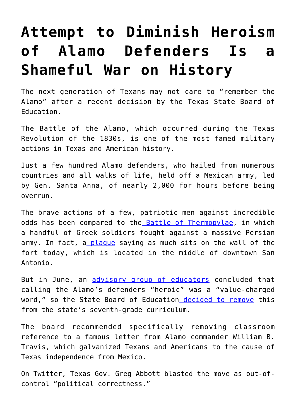## **[Attempt to Diminish Heroism](https://intellectualtakeout.org/2018/09/attempt-to-diminish-heroism-of-alamo-defenders-is-a-shameful-war-on-history/) [of Alamo Defenders Is a](https://intellectualtakeout.org/2018/09/attempt-to-diminish-heroism-of-alamo-defenders-is-a-shameful-war-on-history/) [Shameful War on History](https://intellectualtakeout.org/2018/09/attempt-to-diminish-heroism-of-alamo-defenders-is-a-shameful-war-on-history/)**

The next generation of Texans may not care to "remember the Alamo" after a recent decision by the Texas State Board of Education.

The Battle of the Alamo, which occurred during the Texas Revolution of the 1830s, is one of the most famed military actions in Texas and American history.

Just a few hundred Alamo defenders, who hailed from numerous countries and all walks of life, held off a Mexican army, led by Gen. Santa Anna, of nearly 2,000 for hours before being overrun.

The brave actions of a few, patriotic men against incredible odds has been compared to th[e Battle of Thermopylae](https://en.wikipedia.org/wiki/Battle_of_Thermopylae), in which a handful of Greek soldiers fought against a massive Persian army. In fact, [a plaque](https://www.chron.com/neighborhood/east-montgomery/opinion/article/The-Alamo-The-Thermopylae-of-Texas-9315688.php) saying as much sits on the wall of the fort today, which is located in the middle of downtown San Antonio.

But in June, an [advisory group of educators](https://www.ksat.com/news/committee-wants-the-word-heroic-cut-from-schools-teaching-about-alamo-defenders) concluded that calling the Alamo's defenders "heroic" was a "value-charged word," so the State Board of Educatio[n decided to remove](https://www.washingtonpost.com/education/2018/09/08/were-alamo-defenders-heroic-committee-suggests-removing-word-texas-curriculum/?utm_term=.0733b89c5735) this from the state's seventh-grade curriculum.

The board recommended specifically removing classroom reference to a famous letter from Alamo commander William B. Travis, which galvanized Texans and Americans to the cause of Texas independence from Mexico.

On Twitter, Texas Gov. Greg Abbott blasted the move as out-ofcontrol "political correctness."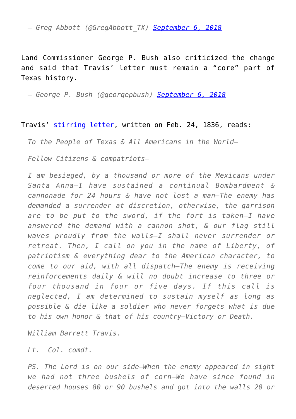*— Greg Abbott (@GregAbbott\_TX) [September 6, 2018](https://twitter.com/GregAbbott_TX/status/1037818627540611074?ref_src=twsrc%5Etfw)*

Land Commissioner George P. Bush also criticized the change and said that Travis' letter must remain a "core" part of Texas history.

*— George P. Bush (@georgepbush) [September 6, 2018](https://twitter.com/georgepbush/status/1037822575076958208?ref_src=twsrc%5Etfw)*

## Travis' [stirring letter](http://texasheritagesociety.org/The-Travis-Letter-Victory-or-Death-.html), written on Feb. 24, 1836, reads:

*To the People of Texas & All Americans in the World—*

*Fellow Citizens & compatriots—*

*I am besieged, by a thousand or more of the Mexicans under Santa Anna—I have sustained a continual Bombardment & cannonade for 24 hours & have not lost a man—The enemy has demanded a surrender at discretion, otherwise, the garrison are to be put to the sword, if the fort is taken—I have answered the demand with a cannon shot, & our flag still waves proudly from the walls—I shall never surrender or retreat. Then, I call on you in the name of Liberty, of patriotism & everything dear to the American character, to come to our aid, with all dispatch—The enemy is receiving reinforcements daily & will no doubt increase to three or four thousand in four or five days. If this call is neglected, I am determined to sustain myself as long as possible & die like a soldier who never forgets what is due to his own honor & that of his country—Victory or Death.*

*William Barrett Travis.*

*Lt. Col. comdt.*

*PS. The Lord is on our side—When the enemy appeared in sight we had not three bushels of corn—We have since found in deserted houses 80 or 90 bushels and got into the walls 20 or*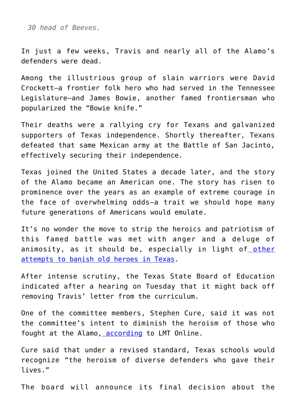*30 head of Beeves.*

In just a few weeks, Travis and nearly all of the Alamo's defenders were dead.

Among the illustrious group of slain warriors were David Crockett—a frontier folk hero who had served in the Tennessee Legislature—and James Bowie, another famed frontiersman who popularized the "Bowie knife."

Their deaths were a rallying cry for Texans and galvanized supporters of Texas independence. Shortly thereafter, Texans defeated that same Mexican army at the Battle of San Jacinto, effectively securing their independence.

Texas joined the United States a decade later, and the story of the Alamo became an American one. The story has risen to prominence over the years as an example of extreme courage in the face of overwhelming odds—a trait we should hope many future generations of Americans would emulate.

It's no wonder the move to strip the heroics and patriotism of this famed battle was met with anger and a deluge of animosity, as it should be, especially in light of [other](https://www.dailysignal.com/2018/08/01/father-of-texas-under-fire-in-the-city-named-for-him/) [attempts to banish old heroes in Texas](https://www.dailysignal.com/2018/08/01/father-of-texas-under-fire-in-the-city-named-for-him/).

After intense scrutiny, the Texas State Board of Education indicated after a hearing on Tuesday that it might back off removing Travis' letter from the curriculum.

One of the committee members, Stephen Cure, said it was not the committee's intent to diminish the heroism of those who fought at the Alamo[, according](https://www.lmtonline.com/news/politics/texas/article/Controversy-over-heroic-Alamo-defenders-13219339.php) to LMT Online.

Cure said that under a revised standard, Texas schools would recognize "the heroism of diverse defenders who gave their lives."

The board will announce its final decision about the